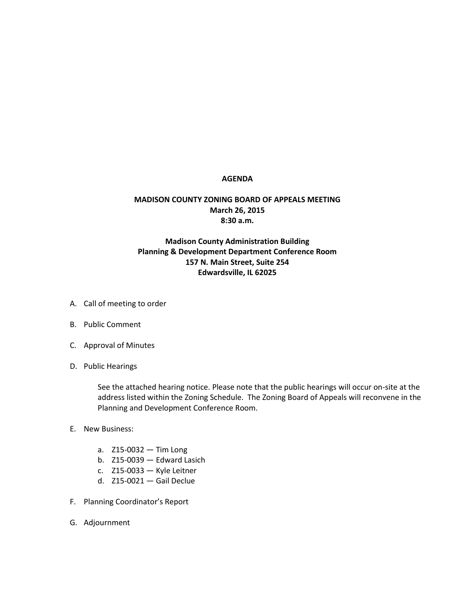## **AGENDA**

## **MADISON COUNTY ZONING BOARD OF APPEALS MEETING March 26, 2015 8:30 a.m.**

## **Madison County Administration Building Planning & Development Department Conference Room 157 N. Main Street, Suite 254 Edwardsville, IL 62025**

- A. Call of meeting to order
- B. Public Comment
- C. Approval of Minutes
- D. Public Hearings

See the attached hearing notice. Please note that the public hearings will occur on-site at the address listed within the Zoning Schedule. The Zoning Board of Appeals will reconvene in the Planning and Development Conference Room.

- E. New Business:
	- a. Z15-0032 Tim Long
	- b. Z15-0039 Edward Lasich
	- c. Z15-0033 Kyle Leitner
	- d. Z15-0021 Gail Declue
- F. Planning Coordinator's Report
- G. Adjournment